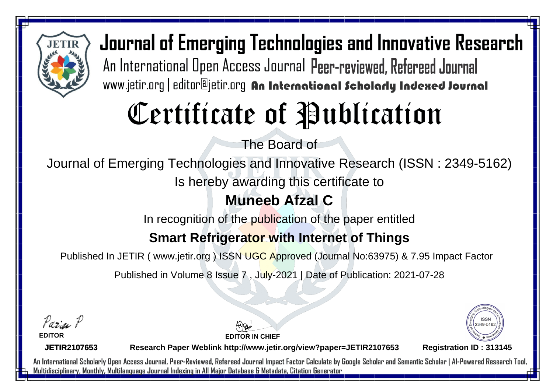

# Certificate of Publication

The Board of

Journal of Emerging Technologies and Innovative Research (ISSN : 2349-5162)

Is hereby awarding this certificate to

### **Muneeb Afzal C**

In recognition of the publication of the paper entitled

### **Smart Refrigerator with Internet of Things**

Published In JETIR ( www.jetir.org ) ISSN UGC Approved (Journal No: 63975) & 7.95 Impact Factor

Published in Volume 8 Issue 7 , July-2021 | Date of Publication: 2021-07-28

Parin P

**EDITOR**

**EDITOR IN CHIEF**



**JETIR2107653**

**Research Paper Weblink http://www.jetir.org/view?paper=JETIR2107653 Registration ID : 313145**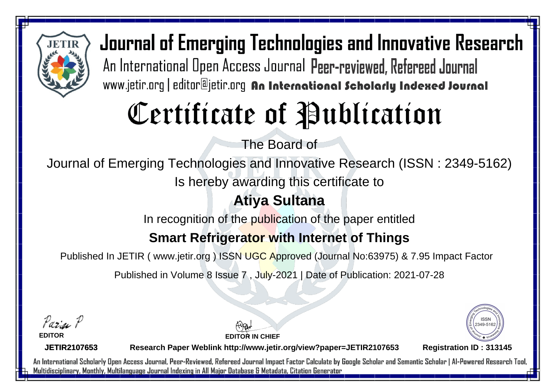

# Certificate of Publication

The Board of

Journal of Emerging Technologies and Innovative Research (ISSN : 2349-5162)

Is hereby awarding this certificate to

### **Atiya Sultana**

In recognition of the publication of the paper entitled

#### **Smart Refrigerator with Internet of Things**

Published In JETIR ( www.jetir.org ) ISSN UGC Approved (Journal No: 63975) & 7.95 Impact Factor

Published in Volume 8 Issue 7 , July-2021 | Date of Publication: 2021-07-28

Parin P

**EDITOR**

**EDITOR IN CHIEF**



**JETIR2107653**

**Research Paper Weblink http://www.jetir.org/view?paper=JETIR2107653 Registration ID : 313145**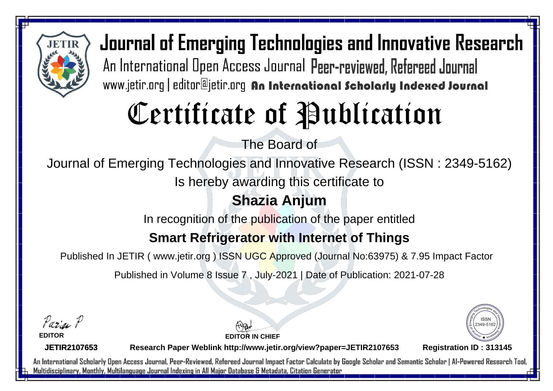

# Certificate of Publication

The Board of

Journal of Emerging Technologies and Innovative Research (ISSN : 2349-5162)

Is hereby awarding this certificate to

### **Shazia Anjum**

In recognition of the publication of the paper entitled

### **Smart Refrigerator with Internet of Things**

Published In JETIR ( www.jetir.org ) ISSN UGC Approved (Journal No: 63975) & 7.95 Impact Factor

Published in Volume 8 Issue 7 , July-2021 | Date of Publication: 2021-07-28

Parin P

**EDITOR**

**EDITOR IN CHIEF**



**JETIR2107653**

**Research Paper Weblink http://www.jetir.org/view?paper=JETIR2107653 Registration ID : 313145**